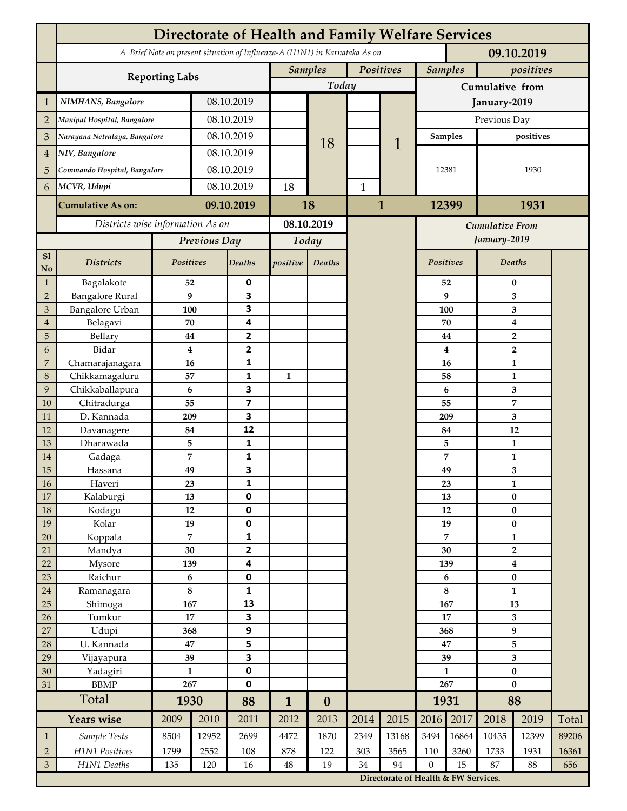|                 | <b>Directorate of Health and Family Welfare Services</b>                                 |                  |            |                         |                |                  |              |                                      |                         |                |                           |                  |       |  |
|-----------------|------------------------------------------------------------------------------------------|------------------|------------|-------------------------|----------------|------------------|--------------|--------------------------------------|-------------------------|----------------|---------------------------|------------------|-------|--|
|                 | A Brief Note on present situation of Influenza-A (H1N1) in Karnataka As on<br>09.10.2019 |                  |            |                         |                |                  |              |                                      |                         |                |                           |                  |       |  |
|                 | <b>Reporting Labs</b>                                                                    |                  |            |                         | <b>Samples</b> |                  | Positives    |                                      |                         | <b>Samples</b> |                           | positives        |       |  |
|                 |                                                                                          |                  |            |                         | Today          |                  |              |                                      | Cumulative from         |                |                           |                  |       |  |
| $\mathbf{1}$    | NIMHANS, Bangalore                                                                       | 08.10.2019       |            |                         |                |                  |              | January-2019                         |                         |                |                           |                  |       |  |
| $\overline{2}$  | Manipal Hospital, Bangalore                                                              |                  |            | 08.10.2019              |                |                  |              |                                      | Previous Day            |                |                           |                  |       |  |
| 3               | Narayana Netralaya, Bangalore                                                            |                  |            | 08.10.2019              |                |                  |              |                                      |                         | Samples        |                           | positives        |       |  |
| $\overline{4}$  | NIV, Bangalore                                                                           |                  | 08.10.2019 |                         |                | 18               |              | 1                                    |                         |                |                           |                  |       |  |
| 5               | Commando Hospital, Bangalore                                                             |                  | 08.10.2019 |                         |                |                  |              |                                      | 12381                   |                | 1930                      |                  |       |  |
| 6               | MCVR, Udupi                                                                              |                  | 08.10.2019 |                         | 18             |                  | $\mathbf{1}$ |                                      |                         |                |                           |                  |       |  |
|                 | <b>Cumulative As on:</b>                                                                 |                  |            | 09.10.2019              |                |                  | $\mathbf{1}$ |                                      | 12399                   |                | 1931                      |                  |       |  |
|                 |                                                                                          |                  |            |                         | 18             |                  |              |                                      |                         |                |                           |                  |       |  |
|                 | Districts wise information As on                                                         |                  |            | 08.10.2019              |                |                  |              | <b>Cumulative From</b>               |                         |                |                           |                  |       |  |
|                 |                                                                                          | Previous Day     |            | Today                   |                |                  |              |                                      |                         | January-2019   |                           |                  |       |  |
| S1<br>No        | <b>Districts</b>                                                                         | Positives        |            | Deaths                  | positive       | Deaths           |              |                                      | Positives               |                |                           | Deaths           |       |  |
| $\mathbf{1}$    | Bagalakote                                                                               | 52               |            | 0                       |                |                  |              |                                      |                         | 52             | 0                         |                  |       |  |
| $\overline{2}$  | <b>Bangalore Rural</b>                                                                   | 9                |            | 3                       |                |                  |              |                                      |                         | 9              | 3                         |                  |       |  |
| 3               | <b>Bangalore Urban</b>                                                                   | 100              |            | 3                       |                |                  |              |                                      | 100                     |                | 3                         |                  |       |  |
| $\overline{4}$  | Belagavi                                                                                 | 70               |            | 4                       |                |                  |              |                                      |                         | 70             |                           | $\boldsymbol{4}$ |       |  |
| 5<br>6          | Bellary<br>Bidar                                                                         | 44<br>$\bf{4}$   |            | 2<br>$\mathbf{2}$       |                |                  |              |                                      |                         | 44<br>4        |                           | $\overline{2}$   |       |  |
| 7               | Chamarajanagara                                                                          | 16               |            | 1                       |                |                  |              |                                      |                         | 16             | $\overline{2}$<br>1       |                  |       |  |
| 8               | Chikkamagaluru                                                                           | 57               |            | 1                       | $\mathbf{1}$   |                  |              |                                      |                         | 58             |                           | 1                |       |  |
| 9               | Chikkaballapura                                                                          | 6                |            | 3                       |                |                  |              |                                      |                         | 6              |                           | 3                |       |  |
| 10              | Chitradurga                                                                              | 55               |            | $\overline{\mathbf{z}}$ |                |                  |              |                                      |                         | 55             |                           | 7                |       |  |
| 11              | D. Kannada                                                                               | 209              |            | 3                       |                |                  |              |                                      |                         | 209            |                           | 3                |       |  |
| 12              | Davanagere                                                                               | 84               |            | 12                      |                |                  |              |                                      |                         | 84             |                           | 12               |       |  |
| 13              | Dharawada                                                                                | 5                |            | 1                       |                |                  |              |                                      |                         | 5              |                           | $\mathbf{1}$     |       |  |
| 14              | Gadaga                                                                                   | 7                |            | 1                       |                |                  |              |                                      |                         | 7              |                           | 1                |       |  |
| 15<br><b>16</b> | Hassana<br>Haveri                                                                        | 49<br>23         |            | 3<br>1                  |                |                  |              |                                      |                         | 49<br>23       | 3<br>1                    |                  |       |  |
| 17              | Kalaburgi                                                                                | 13               |            | 0                       |                |                  |              |                                      |                         | 13             | $\pmb{0}$                 |                  |       |  |
| 18              | Kodagu                                                                                   | 12               |            | $\pmb{0}$               |                |                  |              |                                      |                         | 12             |                           | $\pmb{0}$        |       |  |
| 19              | Kolar                                                                                    | 19               |            | 0                       |                |                  |              |                                      |                         | 19             |                           | $\pmb{0}$        |       |  |
| 20              | Koppala                                                                                  | $\overline{7}$   |            | 1                       |                |                  |              |                                      |                         | 7              |                           | $\mathbf{1}$     |       |  |
| 21              | Mandya                                                                                   | $30\,$           |            | 2                       |                |                  |              |                                      | 30                      |                | $\mathbf{2}$              |                  |       |  |
| 22              | Mysore                                                                                   | 139              |            | 4                       |                |                  |              |                                      |                         | 139            |                           | $\boldsymbol{4}$ |       |  |
| 23              | Raichur                                                                                  | $\bf 6$          |            | 0                       |                |                  |              |                                      | 6<br>8                  |                | $\pmb{0}$<br>$\mathbf{1}$ |                  |       |  |
| $24\,$<br>25    | Ramanagara<br>Shimoga                                                                    | 8<br>167         |            | 1<br>13                 |                |                  |              |                                      | 167                     |                | 13                        |                  |       |  |
| 26              | Tumkur                                                                                   | 17               |            | 3                       |                |                  |              |                                      | 17                      |                | 3                         |                  |       |  |
| 27              | Udupi                                                                                    | 368              |            | 9                       |                |                  |              |                                      |                         | 368            |                           | $\boldsymbol{9}$ |       |  |
| 28              | U. Kannada                                                                               | 47               |            | 5                       |                |                  |              |                                      | 47                      |                | 5                         |                  |       |  |
| 29              | Vijayapura                                                                               | 39               |            | 3                       |                |                  |              |                                      | 39                      |                | $\overline{\mathbf{3}}$   |                  |       |  |
| 30              | Yadagiri                                                                                 | $\mathbf{1}$     |            | 0                       |                |                  |              |                                      | $\mathbf{1}$            |                | $\pmb{0}$                 |                  |       |  |
| 31              | <b>BBMP</b>                                                                              | 267              |            | 0                       |                |                  |              |                                      | 267                     |                | $\bf{0}$                  |                  |       |  |
|                 | Total                                                                                    | 1930             |            | 88                      | $\mathbf{1}$   | $\boldsymbol{0}$ |              |                                      |                         | 1931           |                           | 88               |       |  |
|                 | <b>Years wise</b>                                                                        | 2009             | 2010       | 2011                    | 2012           | 2013             | 2014         | 2015                                 | 2016                    | 2017           | 2018                      | 2019             | Total |  |
| $\mathbf{1}$    | Sample Tests                                                                             | 8504             | 12952      | 2699                    | 4472           | 1870             | 2349         | 13168                                | 3494                    | 16864          | 10435                     | 12399            | 89206 |  |
| $\overline{2}$  | H1N1 Positives                                                                           | 1799             | 2552       | 108                     | 878            | 122              | 303          | 3565                                 | 110<br>$\boldsymbol{0}$ | 3260           | 1733                      | 1931             | 16361 |  |
| $\mathfrak{Z}$  | H1N1 Deaths                                                                              | 135<br>120<br>16 |            | $48\,$                  | 19             | 34               | 94           |                                      | 15                      | 87<br>88       |                           | 656              |       |  |
|                 |                                                                                          |                  |            |                         |                |                  |              | Directorate of Health & FW Services. |                         |                |                           |                  |       |  |